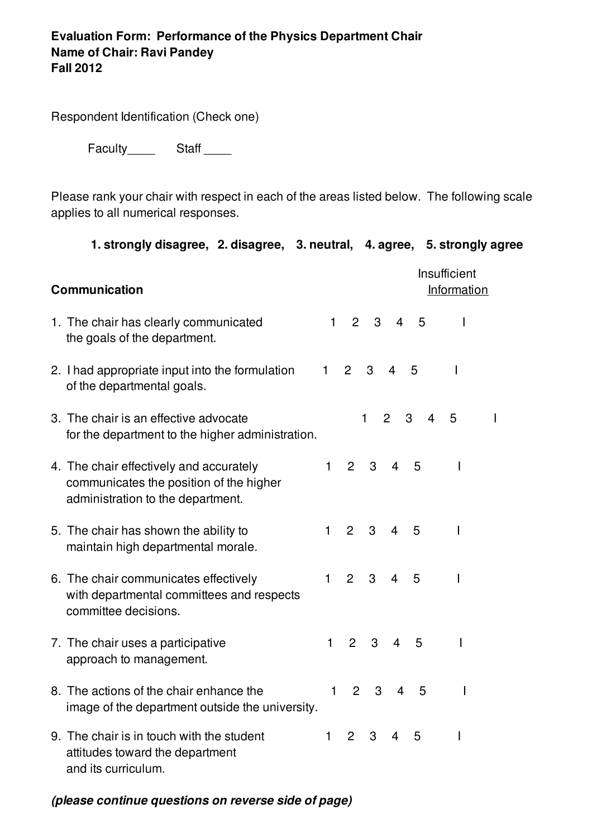## **Evaluation Form: Performance of the Physics Department Chair Name of Chair: Ravi Pandey Fall 2012**

Respondent Identification (Check one)

Faculty\_\_\_\_\_\_\_\_ Staff \_\_\_\_\_\_

Please rank your chair with respect in each of the areas listed below. The following scale applies to all numerical responses.

**1. strongly disagree, 2. disagree, 3. neutral, 4. agree, 5. strongly agree**

| <b>Communication</b> |                                                                                                                         |              | Insufficient<br>Information |   |                |                     |              |  |
|----------------------|-------------------------------------------------------------------------------------------------------------------------|--------------|-----------------------------|---|----------------|---------------------|--------------|--|
|                      | 1. The chair has clearly communicated<br>the goals of the department.                                                   | $\mathbf{1}$ | 2                           | 3 | $\overline{4}$ | 5                   | I.           |  |
|                      | 2. I had appropriate input into the formulation<br>of the departmental goals.                                           | 1            | $\overline{2}$              | 3 | $\overline{4}$ | 5                   | $\mathsf{I}$ |  |
|                      | 3. The chair is an effective advocate<br>for the department to the higher administration.                               |              |                             | 1 | $\overline{2}$ | 3<br>$\overline{4}$ | 5            |  |
|                      | 4. The chair effectively and accurately<br>communicates the position of the higher<br>administration to the department. | $\mathbf{1}$ | 2                           | 3 | 4              | 5                   | $\mathsf{l}$ |  |
|                      | 5. The chair has shown the ability to<br>maintain high departmental morale.                                             | 1            | $\overline{2}$              | 3 | $\overline{4}$ | 5                   | I.           |  |
|                      | 6. The chair communicates effectively<br>with departmental committees and respects<br>committee decisions.              | 1            | $\overline{2}$              | 3 | $\overline{4}$ | 5                   | $\mathbf{I}$ |  |
|                      | 7. The chair uses a participative<br>approach to management.                                                            | 1            | $\overline{2}$              | 3 | $\overline{4}$ | 5                   | $\mathsf{I}$ |  |
|                      | 8. The actions of the chair enhance the<br>image of the department outside the university.                              | 1            | $\overline{2}$              | 3 | $\overline{4}$ | 5                   | I            |  |
|                      | 9. The chair is in touch with the student<br>attitudes toward the department<br>and its curriculum.                     | $\mathbf{1}$ | 2                           | 3 | 4              | 5                   | I            |  |

*(please continue questions on reverse side of page)*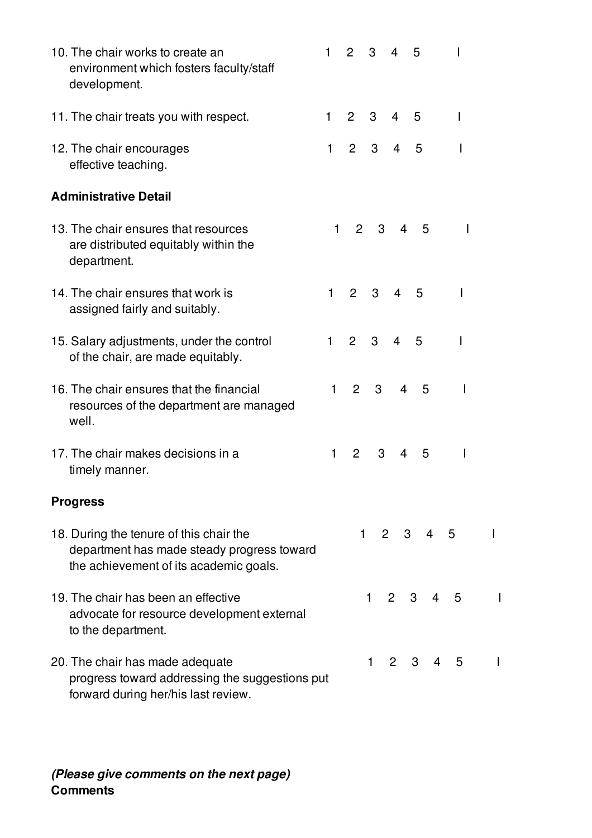|                 | 10. The chair works to create an<br>environment which fosters faculty/staff<br>development.                                     | 1            | $\overline{2}$ | 3                | 4              | 5                                |                          |   |
|-----------------|---------------------------------------------------------------------------------------------------------------------------------|--------------|----------------|------------------|----------------|----------------------------------|--------------------------|---|
|                 | 11. The chair treats you with respect.                                                                                          | 1            | $\overline{2}$ | 3                | $\overline{4}$ | 5                                | $\overline{\phantom{a}}$ |   |
|                 | 12. The chair encourages<br>effective teaching.                                                                                 | 1            | 2              | 3 <sup>1</sup>   | $\overline{4}$ | 5                                |                          |   |
|                 | <b>Administrative Detail</b>                                                                                                    |              |                |                  |                |                                  |                          |   |
|                 | 13. The chair ensures that resources<br>are distributed equitably within the<br>department.                                     | 1            |                | $2^{\circ}$<br>3 | $\overline{4}$ | 5                                | I                        |   |
|                 | 14. The chair ensures that work is<br>assigned fairly and suitably.                                                             | $\mathbf{1}$ | $2^{\circ}$    | 3                | $\overline{4}$ | 5                                |                          |   |
|                 | 15. Salary adjustments, under the control<br>of the chair, are made equitably.                                                  | $\mathbf{1}$ | $2^{\circ}$    | $\mathbf{3}$     | $\overline{4}$ | 5                                |                          |   |
| well.           | 16. The chair ensures that the financial<br>resources of the department are managed                                             | 1            | $2^{\circ}$    | 3                | $\overline{4}$ | 5                                | I                        |   |
|                 | 17. The chair makes decisions in a<br>timely manner.                                                                            | 1            | $\overline{2}$ | 3                | $\overline{4}$ | 5                                | 1                        |   |
| <b>Progress</b> |                                                                                                                                 |              |                |                  |                |                                  |                          |   |
|                 | 18. During the tenure of this chair the<br>department has made steady progress toward<br>the achievement of its academic goals. |              |                |                  |                | $1 2 3 4 5$                      |                          | L |
|                 | 19. The chair has been an effective<br>advocate for resource development external<br>to the department.                         |              |                | 1                | $2^{\circ}$    | 3 <sup>1</sup><br>$\overline{4}$ | - 5                      |   |
|                 | 20. The chair has made adequate<br>progress toward addressing the suggestions put<br>forward during her/his last review.        |              |                | 1.               | $\overline{2}$ | 3<br>4                           | 5                        |   |